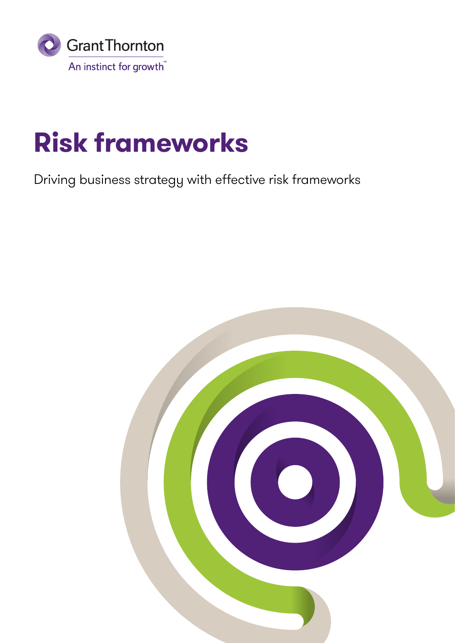

## **Risk frameworks**

Driving business strategy with effective risk frameworks

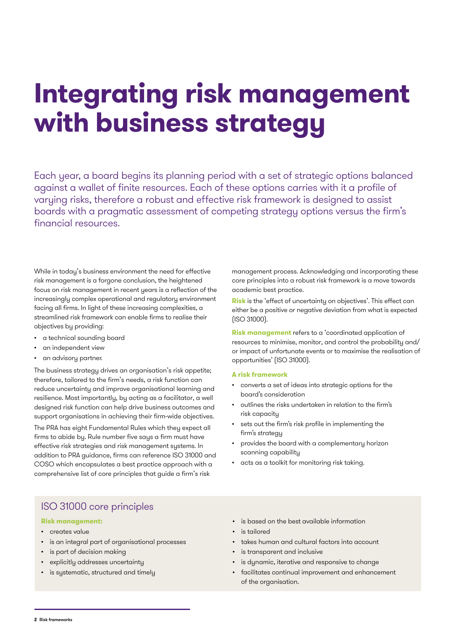## **Integrating risk management with business strategy**

Each year, a board begins its planning period with a set of strategic options balanced against a wallet of finite resources. Each of these options carries with it a profile of varying risks, therefore a robust and effective risk framework is designed to assist boards with a pragmatic assessment of competing strategy options versus the firm's financial resources.

While in today's business environment the need for effective risk management is a forgone conclusion, the heightened focus on risk management in recent years is a reflection of the increasingly complex operational and regulatory environment facing all firms. In light of these increasing complexities, a streamlined risk framework can enable firms to realise their objectives by providing:

- a technical sounding board
- an independent view
- an advisory partner.

The business strategy drives an organisation's risk appetite; therefore, tailored to the firm's needs, a risk function can reduce uncertainty and improve organisational learning and resilience. Most importantly, by acting as a facilitator, a well designed risk function can help drive business outcomes and support organisations in achieving their firm-wide objectives.

The PRA has eight Fundamental Rules which they expect all firms to abide by. Rule number five says a firm must have effective risk strategies and risk management systems. In addition to PRA guidance, firms can reference ISO 31000 and COSO which encapsulates a best practice approach with a comprehensive list of core principles that guide a firm's risk

management process. Acknowledging and incorporating these core principles into a robust risk framework is a move towards academic best practice.

**Risk** is the 'effect of uncertainty on objectives'. This effect can either be a positive or negative deviation from what is expected (ISO 31000).

**Risk management** refers to a 'coordinated application of resources to minimise, monitor, and control the probability and/ or impact of unfortunate events or to maximise the realisation of opportunities' (ISO 31000).

### **A risk framework**

- converts a set of ideas into strategic options for the board's consideration
- outlines the risks undertaken in relation to the firm's risk capacity
- sets out the firm's risk profile in implementing the firm's strategy
- provides the board with a complementary horizon scanning capability
- acts as a toolkit for monitoring risk taking.

## ISO 31000 core principles

### **Risk management:**

- creates value
- is an integral part of organisational processes
- is part of decision making
- explicitly addresses uncertainty
- is systematic, structured and timely
- is based on the best available information
- is tailored
- takes human and cultural factors into account
- is transparent and inclusive
- is dynamic, iterative and responsive to change
- facilitates continual improvement and enhancement of the organisation.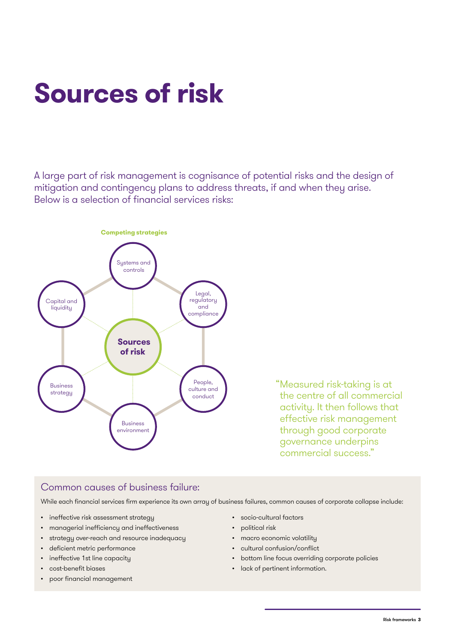## **Sources of risk**

A large part of risk management is cognisance of potential risks and the design of mitigation and contingency plans to address threats, if and when they arise. Below is a selection of financial services risks:



"Measured risk-taking is at the centre of all commercial activity. It then follows that effective risk management through good corporate governance underpins commercial success."

## Common causes of business failure:

While each financial services firm experience its own array of business failures, common causes of corporate collapse include:

- ineffective risk assessment strategy
- managerial inefficiency and ineffectiveness
- strategy over-reach and resource inadequacy
- deficient metric performance
- ineffective 1st line capacity
- cost-benefit biases
- poor financial management
- socio-cultural factors
- political risk
- macro economic volatility
- cultural confusion/conflict
- bottom line focus overriding corporate policies
- lack of pertinent information.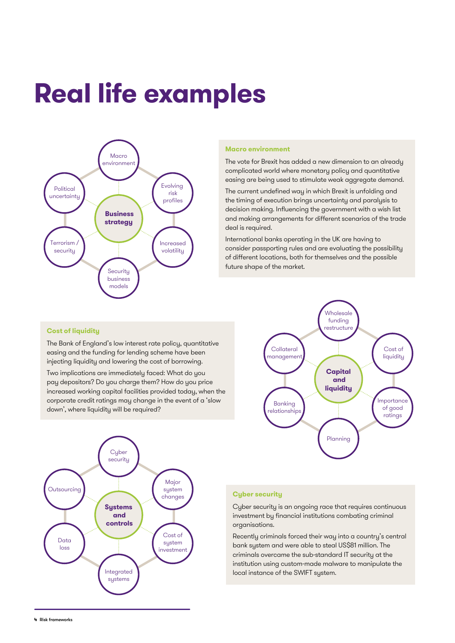### **Real life examples** Macro environment



#### **Macro environment**

The vote for Brexit has added a new dimension to an already complicated world where monetary policy and quantitative easing are being used to stimulate weak aggregate demand. risk

The current undefined way in which Brexit is unfolding and **Business** the timing of execution brings uncertainty and paralysis to **strategy**  decision making. Influencing the government with a wish list and making arrangements for different scenarios of the trade<br>deal is as wired deal is required.

International banks operating in the UK are having to consider passporting rules and are evaluating the possibility of different locations, both for themselves and the possible future shape of the market. nselves

### **Cost of liquidity**

.<br>The Bank of England's low interest rate policy, quantitative mo bank or England of Swimbroot rate policy, quantity<br>easing and the funding for lending scheme have been injecting liquidity and lowering the cost of borrowing. **liquidity** in the Li

.<br>Two implications are immediately faced: What do you rwo implications are immediately raced. what ao you<br>pay depositors? Do you charge them? How do you price increased working capital facilities provided today, when the corporate credit ratings may change in the event of a 'slow down', where liquidity will be required? **liquidity**  liverial<br>S Two implications are immediately faced: What of good





### **Cyber security**

Cyber security is an ongoing race that requires continuous security investment by financial institutions combating criminal organisations.

-<br>Recently criminals forced their way into a country's central bank system and were able to steal US\$81 million. The **Systems**  criminals overcame the sub-standard IT security at the **and** institution using custom-made malware to manipulate the **controls** local instance of the SWIFT system. s centro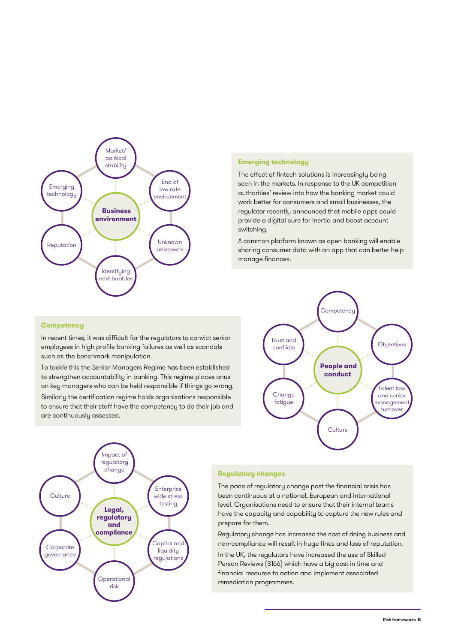

#### **Emerging technology** Emerging , technolo

The effect of fintech solutions is increasingly being seen in the markets. In response to the UK competition authorities' review into how the banking market could work better for consumers and small businesses, the regulator recently announced that mobile apps could regulator recently announced that moone appe ceals<br>provide a digital cure for inertia and boost account switching.

A common platform known as open banking will enable sharing consumer data with an app that can better help manage finances.



In recent times, it was difficult for the regulators to convict senior employees in high profile banking failures as well as scandals **conduct**  such as the benchmark manipulation.

To tackle this the Senior Managers Regime has been established to strengthen accountability in banking. This regime places onus on key managers who can be held responsible if things go wrong. Talent loss jime has k

Similarly the certification regime holds organisations responsible to ensure that their staff have the competency to do their job and are continuously assessed.





### **Regulatory changes**

The pace of regulatory change post the financial crisis has been continuous at a national, European and international level. Organisations need to ensure that their internal teams have the capacity and capability to capture the new rules and prepare for them. the finant

Regulatory change has increased the cost of doing business and **Legal,** testing non-compliance will result in huge fines and loss of reputation. **regulatory**

Operational

In the UK, the regulators have increased the use of Skilled **and** Person Reviews (S166) which have a big cost in time and **compliance** financial resource to action and implement associated remediation programmes.  $\overline{a}$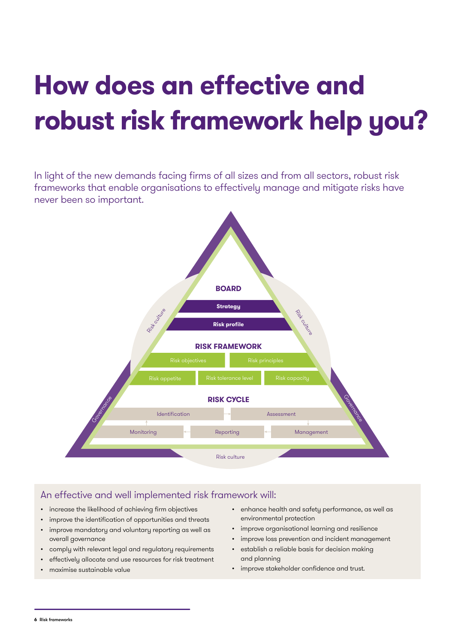# **How does an effective and robust risk framework help you?**

In light of the new demands facing firms of all sizes and from all sectors, robust risk frameworks that enable organisations to effectively manage and mitigate risks have never been so important.



## An effective and well implemented risk framework will:

- increase the likelihood of achieving firm objectives
- improve the identification of opportunities and threats
- improve mandatory and voluntary reporting as well as overall governance
- comply with relevant legal and regulatory requirements
- effectively allocate and use resources for risk treatment
- maximise sustainable value
- enhance health and safety performance, as well as environmental protection
- improve organisational learning and resilience
- improve loss prevention and incident management
- establish a reliable basis for decision making and planning
- improve stakeholder confidence and trust.

**6** Risk frameworks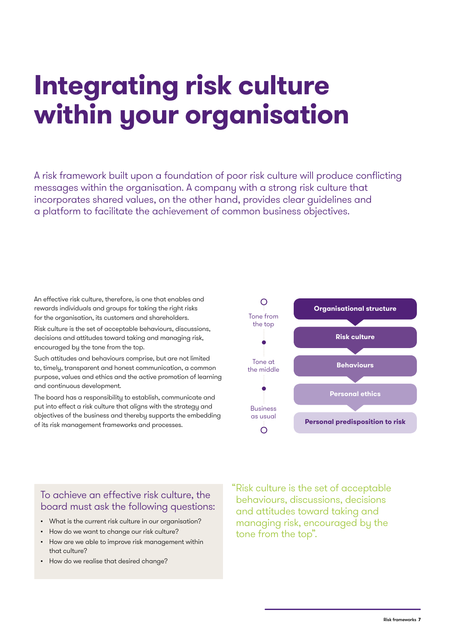## **Integrating risk culture within your organisation**

A risk framework built upon a foundation of poor risk culture will produce conflicting messages within the organisation. A company with a strong risk culture that incorporates shared values, on the other hand, provides clear guidelines and a platform to facilitate the achievement of common business objectives.

An effective risk culture, therefore, is one that enables and rewards individuals and groups for taking the right risks for the organisation, its customers and shareholders.

Risk culture is the set of acceptable behaviours, discussions, decisions and attitudes toward taking and managing risk, encouraged by the tone from the top.

Such attitudes and behaviours comprise, but are not limited to, timely, transparent and honest communication, a common purpose, values and ethics and the active promotion of learning and continuous development.

The board has a responsibility to establish, communicate and put into effect a risk culture that aligns with the strategy and objectives of the business and thereby supports the embedding of its risk management frameworks and processes.



## To achieve an effective risk culture, the board must ask the following questions:

- What is the current risk culture in our organisation?
- How do we want to change our risk culture?
- How are we able to improve risk management within that culture?
- How do we realise that desired change?

"Risk culture is the set of acceptable behaviours, discussions, decisions and attitudes toward taking and managing risk, encouraged by the tone from the top".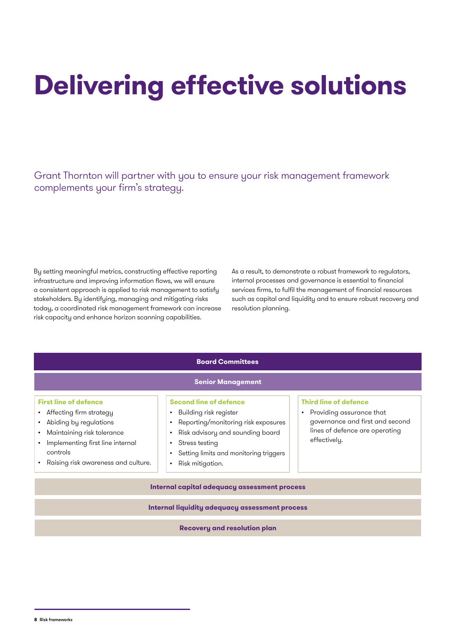# **Delivering effective solutions**

Grant Thornton will partner with you to ensure your risk management framework complements your firm's strategy.

By setting meaningful metrics, constructing effective reporting infrastructure and improving information flows, we will ensure a consistent approach is applied to risk management to satisfy stakeholders. By identifying, managing and mitigating risks today, a coordinated risk management framework can increase risk capacity and enhance horizon scanning capabilities.

As a result, to demonstrate a robust framework to regulators, internal processes and governance is essential to financial services firms, to fulfil the management of financial resources such as capital and liquidity and to ensure robust recovery and resolution planning.

| <b>Senior Management</b>                                                                                                                                                                               |                                                                                                                                                                                                                                                                                     |                                                                                                                                                            |  |
|--------------------------------------------------------------------------------------------------------------------------------------------------------------------------------------------------------|-------------------------------------------------------------------------------------------------------------------------------------------------------------------------------------------------------------------------------------------------------------------------------------|------------------------------------------------------------------------------------------------------------------------------------------------------------|--|
| <b>First line of defence</b><br>Affecting firm strategy<br>Abiding by regulations<br>Maintaining risk tolerance<br>Implementing first line internal<br>controls<br>Raising risk awareness and culture. | <b>Second line of defence</b><br>Building risk register<br>$\bullet$<br>Reporting/monitoring risk exposures<br>Risk advisory and sounding board<br>$\bullet$<br>Stress testing<br>$\bullet$<br>Setting limits and monitoring triggers<br>$\bullet$<br>Risk mitigation.<br>$\bullet$ | <b>Third line of defence</b><br>Providing assurance that<br>$\bullet$<br>governance and first and second<br>lines of defence are operating<br>effectively. |  |
| Internal capital adequacy assessment process                                                                                                                                                           |                                                                                                                                                                                                                                                                                     |                                                                                                                                                            |  |
| <b>Internal liquidity adequacy assessment process</b>                                                                                                                                                  |                                                                                                                                                                                                                                                                                     |                                                                                                                                                            |  |

**Board Committees**

**Recovery and resolution plan**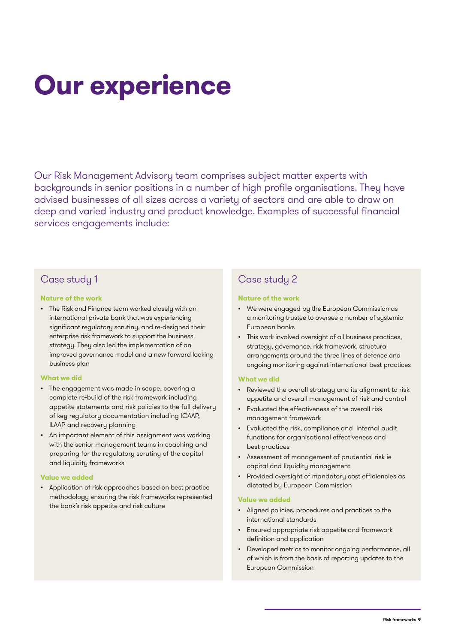# **Our experience**

Our Risk Management Advisory team comprises subject matter experts with backgrounds in senior positions in a number of high profile organisations. They have advised businesses of all sizes across a variety of sectors and are able to draw on deep and varied industry and product knowledge. Examples of successful financial services engagements include:

### Case study 1

### **Nature of the work**

• The Risk and Finance team worked closely with an international private bank that was experiencing significant regulatory scrutiny, and re-designed their enterprise risk framework to support the business strategy. They also led the implementation of an improved governance model and a new forward looking business plan

### **What we did**

- The engagement was made in scope, covering a complete re-build of the risk framework including appetite statements and risk policies to the full delivery of key regulatory documentation including ICAAP, ILAAP and recovery planning
- An important element of this assignment was working with the senior management teams in coaching and preparing for the regulatory scrutiny of the capital and liquidity frameworks

### **Value we added**

• Application of risk approaches based on best practice methodology ensuring the risk frameworks represented the bank's risk appetite and risk culture

## Case study 2

### **Nature of the work**

- We were engaged by the European Commission as a monitoring trustee to oversee a number of systemic European banks
- This work involved oversight of all business practices, strategy, governance, risk framework, structural arrangements around the three lines of defence and ongoing monitoring against international best practices

### **What we did**

- Reviewed the overall strategy and its alignment to risk appetite and overall management of risk and control
- Evaluated the effectiveness of the overall risk management framework
- Evaluated the risk, compliance and internal audit functions for organisational effectiveness and best practices
- Assessment of management of prudential risk ie capital and liquidity management
- Provided oversight of mandatory cost efficiencies as dictated by European Commission

### **Value we added**

- Aligned policies, procedures and practices to the international standards
- Ensured appropriate risk appetite and framework definition and application
- Developed metrics to monitor ongoing performance, all of which is from the basis of reporting updates to the European Commission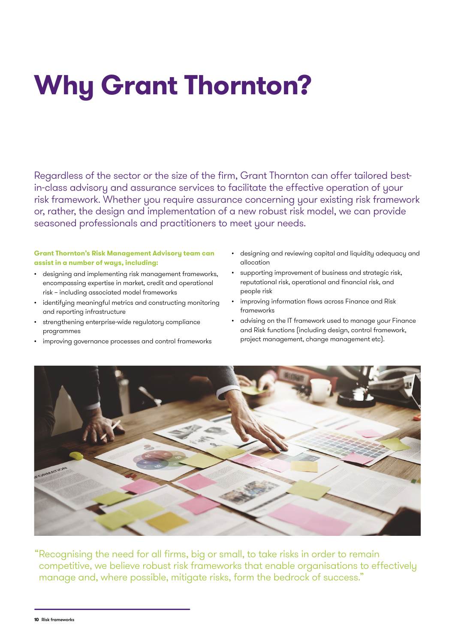# **Why Grant Thornton?**

Regardless of the sector or the size of the firm, Grant Thornton can offer tailored bestin-class advisory and assurance services to facilitate the effective operation of your risk framework. Whether you require assurance concerning your existing risk framework or, rather, the design and implementation of a new robust risk model, we can provide seasoned professionals and practitioners to meet your needs.

### **Grant Thornton's Risk Management Advisory team can assist in a number of ways, including:**

- designing and implementing risk management frameworks, encompassing expertise in market, credit and operational risk – including associated model frameworks
- identifying meaningful metrics and constructing monitoring and reporting infrastructure
- strengthening enterprise-wide regulatory compliance programmes
- improving governance processes and control frameworks
- designing and reviewing capital and liquidity adequacy and allocation
- supporting improvement of business and strategic risk, reputational risk, operational and financial risk, and people risk
- improving information flows across Finance and Risk frameworks
- advising on the IT framework used to manage your Finance and Risk functions (including design, control framework, project management, change management etc).



"Recognising the need for all firms, big or small, to take risks in order to remain competitive, we believe robust risk frameworks that enable organisations to effectively manage and, where possible, mitigate risks, form the bedrock of success."

**10** Risk frameworks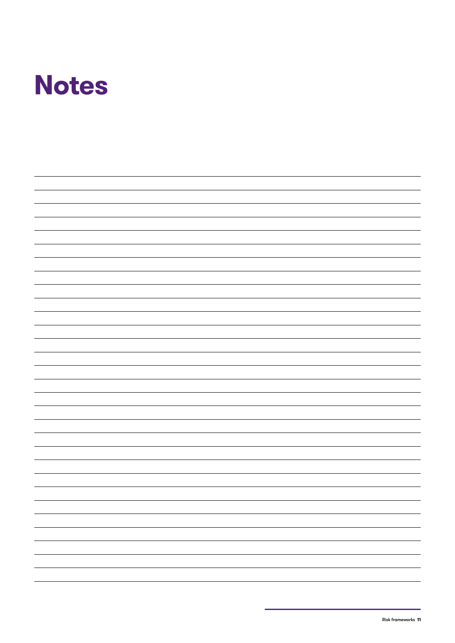

| - |
|---|
|   |
|   |
|   |
| - |
|   |
|   |
|   |
| — |
|   |